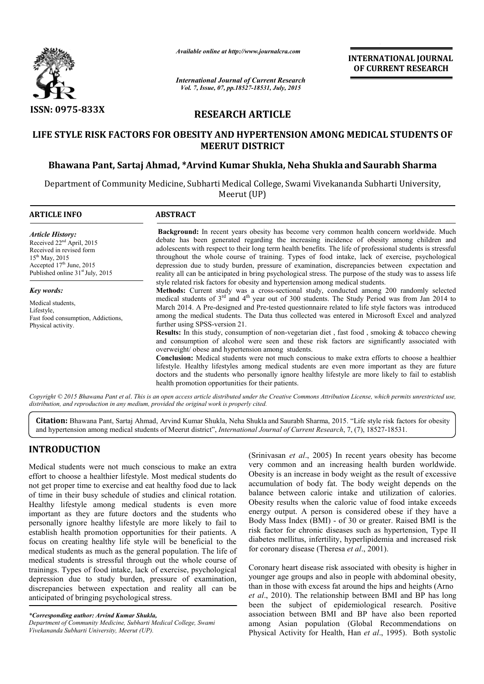

*Available online at http://www.journalcra.com*

*International Journal of Current Research Vol. 7, Issue, 07, pp.18527-18531, July, 2015*

**INTERNATIONAL JOURNAL OF CURRENT RESEARCH** 

# **RESEARCH ARTICLE**

# **LIFE STYLE RISK FACTORS FOR OBESITY AND HYPERTENSION AMONG MEDICAL STUDENTS OF MEERUT DISTRICT**

# **Bhawana Pant, Sartaj Ahmad, \*Arvind Kumar Shukla, Neha Shukla andSaurabh Sharma**

Department of Community Medicine, Subharti Medical College, Swami Vivekananda Subharti University, Meerut (UP)

| <b>ARTICLE INFO</b>                                                                                                                                                                               | <b>ABSTRACT</b>                                                                                                                                                                                                                                                                                                                                                                                                                                                                                                                                                                                                                                                                                                                                                                                                                                                                                                                                                                                                                                                                                                                                                                                     |  |  |  |  |  |  |
|---------------------------------------------------------------------------------------------------------------------------------------------------------------------------------------------------|-----------------------------------------------------------------------------------------------------------------------------------------------------------------------------------------------------------------------------------------------------------------------------------------------------------------------------------------------------------------------------------------------------------------------------------------------------------------------------------------------------------------------------------------------------------------------------------------------------------------------------------------------------------------------------------------------------------------------------------------------------------------------------------------------------------------------------------------------------------------------------------------------------------------------------------------------------------------------------------------------------------------------------------------------------------------------------------------------------------------------------------------------------------------------------------------------------|--|--|--|--|--|--|
| <b>Article History:</b><br>Received 22 <sup>nd</sup> April, 2015<br>Received in revised form<br>$15^{th}$ May, 2015<br>Accepted $17th$ June, 2015<br>Published online 31 <sup>st</sup> July, 2015 | <b>Background:</b> In recent years obesity has become very common health concern worldwide. Much<br>debate has been generated regarding the increasing incidence of obesity among children and<br>adolescents with respect to their long term health benefits. The life of professional students is stressful<br>throughout the whole course of training. Types of food intake, lack of exercise, psychological<br>depression due to study burden, pressure of examination, discrepancies between expectation and<br>reality all can be anticipated in bring psychological stress. The purpose of the study was to assess life                                                                                                                                                                                                                                                                                                                                                                                                                                                                                                                                                                      |  |  |  |  |  |  |
| Key words:<br>Medical students,<br>Lifestyle,<br>Fast food consumption, Addictions,<br>Physical activity.                                                                                         | style related risk factors for obesity and hypertension among medical students.<br>Methods: Current study was a cross-sectional study, conducted among 200 randomly selected<br>medical students of 3 <sup>rd</sup> and 4 <sup>th</sup> year out of 300 students. The Study Period was from Jan 2014 to<br>March 2014. A Pre-designed and Pre-tested questionnaire related to life style factors was introduced<br>among the medical students. The Data thus collected was entered in Microsoft Excel and analyzed<br>further using SPSS-version 21.<br><b>Results:</b> In this study, consumption of non-vegetarian diet, fast food, smoking & tobacco chewing<br>and consumption of alcohol were seen and these risk factors are significantly associated with<br>overweight/ obese and hypertension among students.<br><b>Conclusion:</b> Medical students were not much conscious to make extra efforts to choose a healthier<br>lifestyle. Healthy lifestyles among medical students are even more important as they are future<br>doctors and the students who personally ignore healthy lifestyle are more likely to fail to establish<br>health promotion opportunities for their patients. |  |  |  |  |  |  |

*Copyright © 2015 Bhawana Pant et al*. *This is an open access article distributed under the Creative Commons Attribution License, which permits unrestricted use, distribution, and reproduction in any medium, provided the original work is properly cited.*

**Citation:** Bhawana Pant, Sartaj Ahmad, Arvind Kumar Shukla, Neha Shukla and Saurabh Sharma, 2015. "Life style risk factors for obesity and hypertension among medical students of Meerut district", *International Journal of Current Research*, 7, (7), 18527-18531.

# **INTRODUCTION**

Medical students were not much conscious to make an extra effort to choose a healthier lifestyle. Most medical students do not get proper time to exercise and eat healthy food due to lack of time in their busy schedule of studies and clinical rotation. Healthy lifestyle among medical students is even more important as they are future doctors and the students who personally ignore healthy lifestyle are more likely to fail to establish health promotion opportunities for their patients. A focus on creating healthy life style will be beneficial to the medical students as much as the general population. The life of medical students is stressful through out the whole course of trainings. Types of food intake, lack of exercise, psychological depression due to study burden, pressure of examination, discrepancies between expectation and reality all can be anticipated of bringing psychological stress.

*\*Corresponding author: Arvind Kumar Shukla, Department of Community Medicine, Subharti Medical College, Swami Vivekananda Subharti University, Meerut (UP).*

(Srinivasan *et al*., 2005) In recent years obesity has become very common and an increasing health burden worldwide. Obesity is an increase in body weight as the result of excessive accumulation of body fat. The body weight depends on the balance between caloric intake and utilization of calories. Obesity results when the caloric value of food intake exceeds energy output. A person is considered obese if they have a Body Mass Index (BMI) - of 30 or greater. Raised BMI is the risk factor for chronic diseases such as hypertension, Type II diabetes mellitus, infertility, hyperlipidemia and increased risk for coronary disease (Theresa *et al*., 2001).

Coronary heart disease risk associated with obesity is higher in younger age groups and also in people with abdominal obesity, than in those with excess fat around the hips and heights (Arno *et al*., 2010). The relationship between BMI and BP has long been the subject of epidemiological research. Positive association between BMI and BP have also been reported among Asian population (Global Recommendations on Physical Activity for Health, Han *et al*., 1995). Both systolic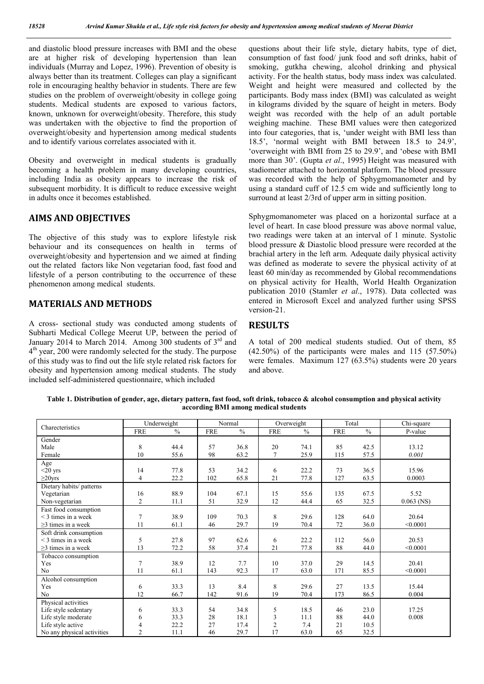and diastolic blood pressure increases with BMI and the obese are at higher risk of developing hypertension than lean individuals (Murray and Lopez, 1996). Prevention of obesity is always better than its treatment. Colleges can play a significant role in encouraging healthy behavior in students. There are few studies on the problem of overweight/obesity in college going students. Medical students are exposed to various factors, known, unknown for overweight/obesity. Therefore, this study was undertaken with the objective to find the proportion of overweight/obesity and hypertension among medical students and to identify various correlates associated with it.

Obesity and overweight in medical students is gradually becoming a health problem in many developing countries, including India as obesity appears to increase the risk of subsequent morbidity. It is difficult to reduce excessive weight in adults once it becomes established.

## **AIMS AND OBJECTIVES**

The objective of this study was to explore lifestyle risk behaviour and its consequences on health in terms of overweight/obesity and hypertension and we aimed at finding out the related factors like Non vegetarian food, fast food and lifestyle of a person contributing to the occurrence of these phenomenon among medical students.

## **MATERIALS AND METHODS**

A cross- sectional study was conducted among students of Subharti Medical College Meerut UP, between the period of January 2014 to March 2014. Among 300 students of 3<sup>rd</sup> and  $4<sup>th</sup>$  year, 200 were randomly selected for the study. The purpose of this study was to find out the life style related risk factors for obesity and hypertension among medical students. The study included self-administered questionnaire, which included

questions about their life style, dietary habits, type of diet, consumption of fast food/ junk food and soft drinks, habit of smoking, gutkha chewing, alcohol drinking and physical activity. For the health status, body mass index was calculated. Weight and height were measured and collected by the participants. Body mass index (BMI) was calculated as weight in kilograms divided by the square of height in meters. Body weight was recorded with the help of an adult portable weighing machine. These BMI values were then categorized into four categories, that is, 'under weight with BMI less than 18.5', 'normal weight with BMI between 18.5 to 24.9', 'overweight with BMI from 25 to 29.9', and 'obese with BMI more than 30'. (Gupta *et al*., 1995) Height was measured with stadiometer attached to horizontal platform. The blood pressure was recorded with the help of Sphygmomanometer and by using a standard cuff of 12.5 cm wide and sufficiently long to surround at least 2/3rd of upper arm in sitting position.

Sphygmomanometer was placed on a horizontal surface at a level of heart. In case blood pressure was above normal value, two readings were taken at an interval of 1 minute. Systolic blood pressure & Diastolic blood pressure were recorded at the brachial artery in the left arm. Adequate daily physical activity was defined as moderate to severe the physical activity of at least 60 min/day as recommended by Global recommendations on physical activity for Health, World Health Organization publication 2010 (Stamler *et al*., 1978). Data collected was entered in Microsoft Excel and analyzed further using SPSS version-21.

## **RESULTS**

A total of 200 medical students studied. Out of them, 85 (42.50%) of the participants were males and 115 (57.50%) were females. Maximum 127 (63.5%) students were 20 years and above.

**Table 1. Distribution of gender, age, dietary pattern, fast food, soft drink, tobacco & alcohol consumption and physical activity according BMI among medical students**

| Charecteristics            | Underweight    |               | Normal     |               | Overweight     |               | Total      |               | Chi-square   |
|----------------------------|----------------|---------------|------------|---------------|----------------|---------------|------------|---------------|--------------|
|                            | <b>FRE</b>     | $\frac{0}{0}$ | <b>FRE</b> | $\frac{0}{0}$ | <b>FRE</b>     | $\frac{0}{0}$ | <b>FRE</b> | $\frac{0}{0}$ | P-value      |
| Gender                     |                |               |            |               |                |               |            |               |              |
| Male                       | 8              | 44.4          | 57         | 36.8          | 20             | 74.1          | 85         | 42.5          | 13.12        |
| Female                     | 10             | 55.6          | 98         | 63.2          | $\overline{7}$ | 25.9          | 115        | 57.5          | 0.001        |
| Age                        |                |               |            |               |                |               |            |               |              |
| $<$ 20 yrs                 | 14             | 77.8          | 53         | 34.2          | 6              | 22.2          | 73         | 36.5          | 15.96        |
| $\geq$ 20yrs               | $\overline{4}$ | 22.2          | 102        | 65.8          | 21             | 77.8          | 127        | 63.5          | 0.0003       |
| Dietary habits/ patterns   |                |               |            |               |                |               |            |               |              |
| Vegetarian                 | 16             | 88.9          | 104        | 67.1          | 15             | 55.6          | 135        | 67.5          | 5.52         |
| Non-vegetarian             | $\overline{2}$ | 11.1          | 51         | 32.9          | 12             | 44.4          | 65         | 32.5          | $0.063$ (NS) |
| Fast food consumption      |                |               |            |               |                |               |            |               |              |
| $\leq$ 3 times in a week   | $\overline{7}$ | 38.9          | 109        | 70.3          | 8              | 29.6          | 128        | 64.0          | 20.64        |
| $\geq$ 3 times in a week   | 11             | 61.1          | 46         | 29.7          | 19             | 70.4          | 72         | 36.0          | < 0.0001     |
| Soft drink consumption     |                |               |            |               |                |               |            |               |              |
| $\leq$ 3 times in a week   | 5              | 27.8          | 97         | 62.6          | 6              | 22.2          | 112        | 56.0          | 20.53        |
| $\geq$ 3 times in a week   | 13             | 72.2          | 58         | 37.4          | 21             | 77.8          | 88         | 44.0          | < 0.0001     |
| Tobacco consumption        |                |               |            |               |                |               |            |               |              |
| Yes                        | $\overline{7}$ | 38.9          | 12         | 7.7           | 10             | 37.0          | 29         | 14.5          | 20.41        |
| No                         | 11             | 61.1          | 143        | 92.3          | 17             | 63.0          | 171        | 85.5          | < 0.0001     |
| Alcohol consumption        |                |               |            |               |                |               |            |               |              |
| Yes                        | 6              | 33.3          | 13         | 8.4           | 8              | 29.6          | 27         | 13.5          | 15.44        |
| No                         | 12             | 66.7          | 142        | 91.6          | 19             | 70.4          | 173        | 86.5          | 0.004        |
| Physical activities        |                |               |            |               |                |               |            |               |              |
| Life style sedentary       | 6              | 33.3          | 54         | 34.8          | 5              | 18.5          | 46         | 23.0          | 17.25        |
| Life style moderate        | 6              | 33.3          | 28         | 18.1          | 3              | 11.1          | 88         | 44.0          | 0.008        |
| Life style active          | 4              | 22.2          | 27         | 17.4          | $\overline{2}$ | 7.4           | 21         | 10.5          |              |
| No any physical activities | $\overline{2}$ | 11.1          | 46         | 29.7          | 17             | 63.0          | 65         | 32.5          |              |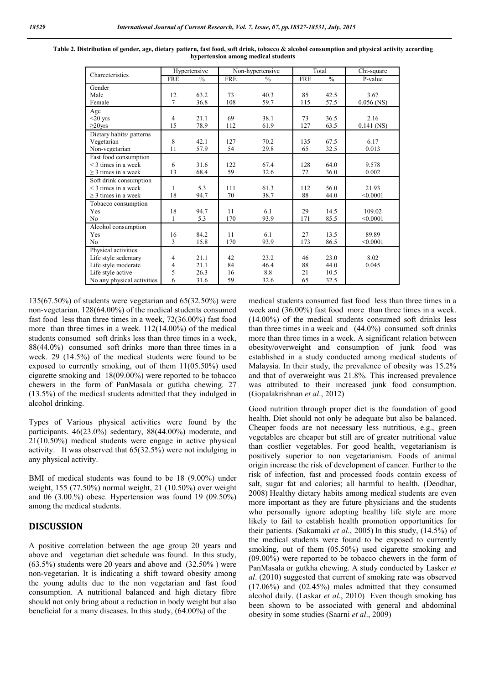| Charecteristics            | Hypertensive   |               |            | Non-hypertensive | Total      |               | $\overline{\text{Chi}}$ -square |
|----------------------------|----------------|---------------|------------|------------------|------------|---------------|---------------------------------|
|                            | <b>FRE</b>     | $\frac{0}{0}$ | <b>FRE</b> | $\frac{0}{0}$    | <b>FRE</b> | $\frac{0}{0}$ | P-value                         |
| Gender                     |                |               |            |                  |            |               |                                 |
| Male                       | 12             | 63.2          | 73         | 40.3             | 85         | 42.5          | 3.67                            |
| Female                     | $\overline{7}$ | 36.8          | 108        | 59.7             | 115        | 57.5          | $0.056$ (NS)                    |
| Age                        |                |               |            |                  |            |               |                                 |
| $<$ 20 yrs                 | $\overline{4}$ | 21.1          | 69         | 38.1             | 73         | 36.5          | 2.16                            |
| $\geq$ 20yrs               | 15             | 78.9          | 112        | 61.9             | 127        | 63.5          | $0.141$ (NS)                    |
| Dietary habits/ patterns   |                |               |            |                  |            |               |                                 |
| Vegetarian                 | 8              | 42.1          | 127        | 70.2             | 135        | 67.5          | 6.17                            |
| Non-vegetarian             | 11             | 57.9          | 54         | 29.8             | 65         | 32.5          | 0.013                           |
| Fast food consumption      |                |               |            |                  |            |               |                                 |
| $\leq$ 3 times in a week   | 6              | 31.6          | 122        | 67.4             | 128        | 64.0          | 9.578                           |
| $\geq$ 3 times in a week   | 13             | 68.4          | 59         | 32.6             | 72         | 36.0          | 0.002                           |
| Soft drink consumption     |                |               |            |                  |            |               |                                 |
| $\leq$ 3 times in a week   | 1              | 5.3           | 111        | 61.3             | 112        | 56.0          | 21.93                           |
| $\geq$ 3 times in a week   | 18             | 94.7          | 70         | 38.7             | 88         | 44.0          | < 0.0001                        |
| Tobacco consumption        |                |               |            |                  |            |               |                                 |
| Yes                        | 18             | 94.7          | 11         | 6.1              | 29         | 14.5          | 109.02                          |
| N <sub>0</sub>             | $\mathbf{1}$   | 5.3           | 170        | 93.9             | 171        | 85.5          | < 0.0001                        |
| Alcohol consumption        |                |               |            |                  |            |               |                                 |
| Yes                        | 16             | 84.2          | 11         | 6.1              | 27         | 13.5          | 89.89                           |
| N <sub>0</sub>             | 3              | 15.8          | 170        | 93.9             | 173        | 86.5          | < 0.0001                        |
| Physical activities        |                |               |            |                  |            |               |                                 |
| Life style sedentary       | $\overline{4}$ | 21.1          | 42         | 23.2             | 46         | 23.0          | 8.02                            |
| Life style moderate        | 4              | 21.1          | 84         | 46.4             | 88         | 44.0          | 0.045                           |
| Life style active          | 5              | 26.3          | 16         | 8.8              | 21         | 10.5          |                                 |
| No any physical activities | 6              | 31.6          | 59         | 32.6             | 65         | 32.5          |                                 |

**Table 2. Distribution of gender, age, dietary pattern, fast food, soft drink, tobacco & alcohol consumption and physical activity according hypertension among medical students**

135(67.50%) of students were vegetarian and 65(32.50%) were non-vegetarian. 128(64.00%) of the medical students consumed fast food less than three times in a week, 72(36.00%) fast food more than three times in a week. 112(14.00%) of the medical students consumed soft drinks less than three times in a week, 88(44.0%) consumed soft drinks more than three times in a week. 29 (14.5%) of the medical students were found to be exposed to currently smoking, out of them 11(05.50%) used cigarette smoking and 18(09.00%) were reported to be tobacco chewers in the form of PanMasala or gutkha chewing. 27 (13.5%) of the medical students admitted that they indulged in alcohol drinking.

Types of Various physical activities were found by the participants. 46(23.0%) sedentary, 88(44.00%) moderate, and 21(10.50%) medical students were engage in active physical activity. It was observed that 65(32.5%) were not indulging in any physical activity.

BMI of medical students was found to be 18 (9.00%) under weight, 155 (77.50%) normal weight, 21 (10.50%) over weight and 06 (3.00.%) obese. Hypertension was found 19 (09.50%) among the medical students.

#### **DISCUSSION**

A positive correlation between the age group 20 years and above and vegetarian diet schedule was found. In this study, (63.5%) students were 20 years and above and (32.50% ) were non-vegetarian. It is indicating a shift toward obesity among the young adults due to the non vegetarian and fast food consumption. A nutritional balanced and high dietary fibre should not only bring about a reduction in body weight but also beneficial for a many diseases. In this study, (64.00%) of the

medical students consumed fast food less than three times in a week and (36.00%) fast food more than three times in a week. (14.00%) of the medical students consumed soft drinks less than three times in a week and (44.0%) consumed soft drinks more than three times in a week. A significant relation between obesity/overweight and consumption of junk food was established in a study conducted among medical students of Malaysia. In their study, the prevalence of obesity was 15.2% and that of overweight was 21.8%. This increased prevalence was attributed to their increased junk food consumption. (Gopalakrishnan *et al*., 2012)

Good nutrition through proper diet is the foundation of good health. Diet should not only be adequate but also be balanced. Cheaper foods are not necessary less nutritious, e.g., green vegetables are cheaper but still are of greater nutritional value than costlier vegetables. For good health, vegetarianism is positively superior to non vegetarianism. Foods of animal origin increase the risk of development of cancer. Further to the risk of infection, fast and processed foods contain excess of salt, sugar fat and calories; all harmful to health. (Deodhar, 2008) Healthy dietary habits among medical students are even more important as they are future physicians and the students who personally ignore adopting healthy life style are more likely to fail to establish health promotion opportunities for their patients. (Sakamaki *et al*., 2005) In this study, (14.5%) of the medical students were found to be exposed to currently smoking, out of them (05.50%) used cigarette smoking and (09.00%) were reported to be tobacco chewers in the form of PanMasala or gutkha chewing. A study conducted by Lasker *et al*. (2010) suggested that current of smoking rate was observed  $(17.06\%)$  and  $(02.45\%)$  males admitted that they consumed alcohol daily. (Laskar *et al*., 2010) Even though smoking has been shown to be associated with general and abdominal obesity in some studies (Saarni *et al*., 2009)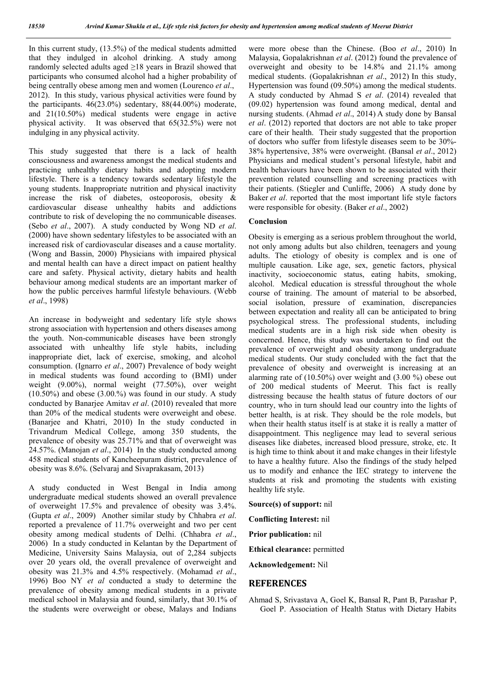In this current study, (13.5%) of the medical students admitted that they indulged in alcohol drinking. A study among randomly selected adults aged ≥18 years in Brazil showed that participants who consumed alcohol had a higher probability of being centrally obese among men and women (Lourenco *et al*., 2012). In this study, various physical activities were found by the participants.  $46(23.0\%)$  sedentary,  $88(44.00\%)$  moderate, and 21(10.50%) medical students were engage in active physical activity. It was observed that 65(32.5%) were not indulging in any physical activity.

This study suggested that there is a lack of health consciousness and awareness amongst the medical students and practicing unhealthy dietary habits and adopting modern lifestyle. There is a tendency towards sedentary lifestyle the young students. Inappropriate nutrition and physical inactivity increase the risk of diabetes, osteoporosis, obesity & cardiovascular disease unhealthy habits and addictions contribute to risk of developing the no communicable diseases. (Sebo *et al*., 2007). A study conducted by Wong ND *et al*. (2000) have shown sedentary lifestyles to be associated with an increased risk of cardiovascular diseases and a cause mortality. (Wong and Bassin, 2000) Physicians with impaired physical and mental health can have a direct impact on patient healthy care and safety. Physical activity, dietary habits and health behaviour among medical students are an important marker of how the public perceives harmful lifestyle behaviours. (Webb *et al*., 1998)

An increase in bodyweight and sedentary life style shows strong association with hypertension and others diseases among the youth. Non-communicable diseases have been strongly associated with unhealthy life style habits, including inappropriate diet, lack of exercise, smoking, and alcohol consumption. (Ignarro *et al*., 2007) Prevalence of body weight in medical students was found according to (BMI) under weight (9.00%), normal weight (77.50%), over weight  $(10.50\%)$  and obese  $(3.00\%)$  was found in our study. A study conducted by Banarjee Amitav *et al*. (2010) revealed that more than 20% of the medical students were overweight and obese. (Banarjee and Khatri, 2010) In the study conducted in Trivandrum Medical College, among 350 students, the prevalence of obesity was 25.71% and that of overweight was 24.57%. (Manojan *et al*., 2014) In the study conducted among 458 medical students of Kancheepuram district, prevalence of obesity was 8.6%. (Selvaraj and Sivaprakasam, 2013)

A study conducted in West Bengal in India among undergraduate medical students showed an overall prevalence of overweight 17.5% and prevalence of obesity was 3.4%. (Gupta *et al*., 2009) Another similar study by Chhabra *et al*. reported a prevalence of 11.7% overweight and two per cent obesity among medical students of Delhi. (Chhabra *et al*., 2006) In a study conducted in Kelantan by the Department of Medicine, University Sains Malaysia, out of 2,284 subjects over 20 years old, the overall prevalence of overweight and obesity was 21.3% and 4.5% respectively. (Mohamad *et al*., 1996) Boo NY *et al* conducted a study to determine the prevalence of obesity among medical students in a private medical school in Malaysia and found, similarly, that 30.1% of the students were overweight or obese, Malays and Indians

were more obese than the Chinese. (Boo *et al*., 2010) In Malaysia, Gopalakrishnan *et al*. (2012) found the prevalence of overweight and obesity to be 14.8% and 21.1% among medical students. (Gopalakrishnan *et al*., 2012) In this study, Hypertension was found (09.50%) among the medical students. A study conducted by Ahmad S *et al*. (2014) revealed that (09.02) hypertension was found among medical, dental and nursing students. (Ahmad *et al*., 2014) A study done by Bansal *et al*. (2012) reported that doctors are not able to take proper care of their health. Their study suggested that the proportion of doctors who suffer from lifestyle diseases seem to be 30%- 38% hypertensive, 38% were overweight. (Bansal *et al*., 2012) Physicians and medical student's personal lifestyle, habit and health behaviours have been shown to be associated with their prevention related counselling and screening practices with their patients. (Stiegler and Cunliffe, 2006) A study done by Baker *et al*. reported that the most important life style factors were responsible for obesity. (Baker *et al*., 2002)

#### **Conclusion**

Obesity is emerging as a serious problem throughout the world, not only among adults but also children, teenagers and young adults. The etiology of obesity is complex and is one of multiple causation. Like age, sex, genetic factors, physical inactivity, socioeconomic status, eating habits, smoking, alcohol. Medical education is stressful throughout the whole course of training. The amount of material to be absorbed, social isolation, pressure of examination, discrepancies between expectation and reality all can be anticipated to bring psychological stress. The professional students, including medical students are in a high risk side when obesity is concerned. Hence, this study was undertaken to find out the prevalence of overweight and obesity among undergraduate medical students. Our study concluded with the fact that the prevalence of obesity and overweight is increasing at an alarming rate of (10.50%) over weight and (3.00 %) obese out of 200 medical students of Meerut. This fact is really distressing because the health status of future doctors of our country, who in turn should lead our country into the lights of better health, is at risk. They should be the role models, but when their health status itself is at stake it is really a matter of disappointment. This negligence may lead to several serious diseases like diabetes, increased blood pressure, stroke, etc. It is high time to think about it and make changes in their lifestyle to have a healthy future. Also the findings of the study helped us to modify and enhance the IEC strategy to intervene the students at risk and promoting the students with existing healthy life style.

**Source(s) of support:** nil

**Conflicting Interest:** nil

**Prior publication:** nil

**Ethical clearance:** permitted

**Acknowledgement:** Nil

#### **REFERENCES**

Ahmad S, Srivastava A, Goel K, Bansal R, Pant B, Parashar P, Goel P. Association of Health Status with Dietary Habits